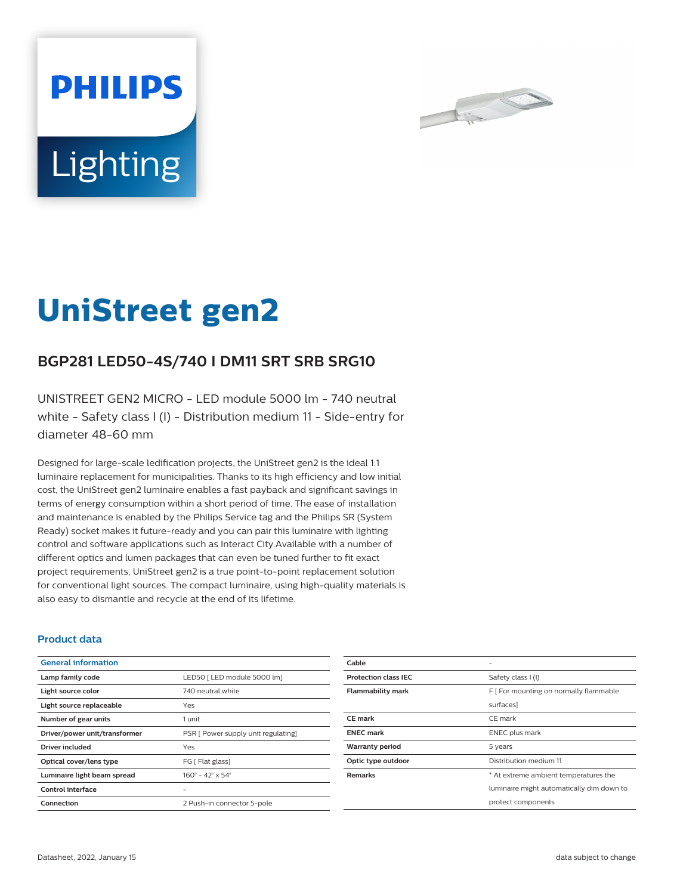



# **UniStreet gen2**

## **BGP281 LED50-4S/740 I DM11 SRT SRB SRG10**

UNISTREET GEN2 MICRO - LED module 5000 lm - 740 neutral white - Safety class I (I) - Distribution medium 11 - Side-entry for diameter 48-60 mm

Designed for large-scale ledification projects, the UniStreet gen2 is the ideal 1:1 luminaire replacement for municipalities. Thanks to its high efficiency and low initial cost, the UniStreet gen2 luminaire enables a fast payback and significant savings in terms of energy consumption within a short period of time. The ease of installation and maintenance is enabled by the Philips Service tag and the Philips SR (System Ready) socket makes it future-ready and you can pair this luminaire with lighting control and software applications such as Interact City.Available with a number of different optics and lumen packages that can even be tuned further to fit exact project requirements, UniStreet gen2 is a true point-to-point replacement solution for conventional light sources. The compact luminaire, using high-quality materials is also easy to dismantle and recycle at the end of its lifetime.

#### **Product data**

| <b>General information</b>    |                                              |
|-------------------------------|----------------------------------------------|
| Lamp family code              | LED50   LED module 5000 lm]                  |
| Light source color            | 740 neutral white                            |
| Light source replaceable      | Yes                                          |
| Number of gear units          | 1 unit                                       |
| Driver/power unit/transformer | PSR [ Power supply unit regulating]          |
| Driver included               | Yes                                          |
| Optical cover/lens type       | FG   Flat glass]                             |
| Luminaire light beam spread   | $160^{\circ} - 42^{\circ} \times 54^{\circ}$ |
| Control interface             |                                              |
| Connection                    | 2 Push-in connector 5-pole                   |

| Cable                       |                                           |
|-----------------------------|-------------------------------------------|
| <b>Protection class IEC</b> | Safety class I (I)                        |
| <b>Flammability mark</b>    | F [ For mounting on normally flammable    |
|                             | surfaces]                                 |
| CE mark                     | CE mark                                   |
| <b>ENEC mark</b>            | <b>ENEC</b> plus mark                     |
| <b>Warranty period</b>      | 5 years                                   |
| Optic type outdoor          | Distribution medium 11                    |
| <b>Remarks</b>              | * At extreme ambient temperatures the     |
|                             | luminaire might automatically dim down to |
|                             | protect components                        |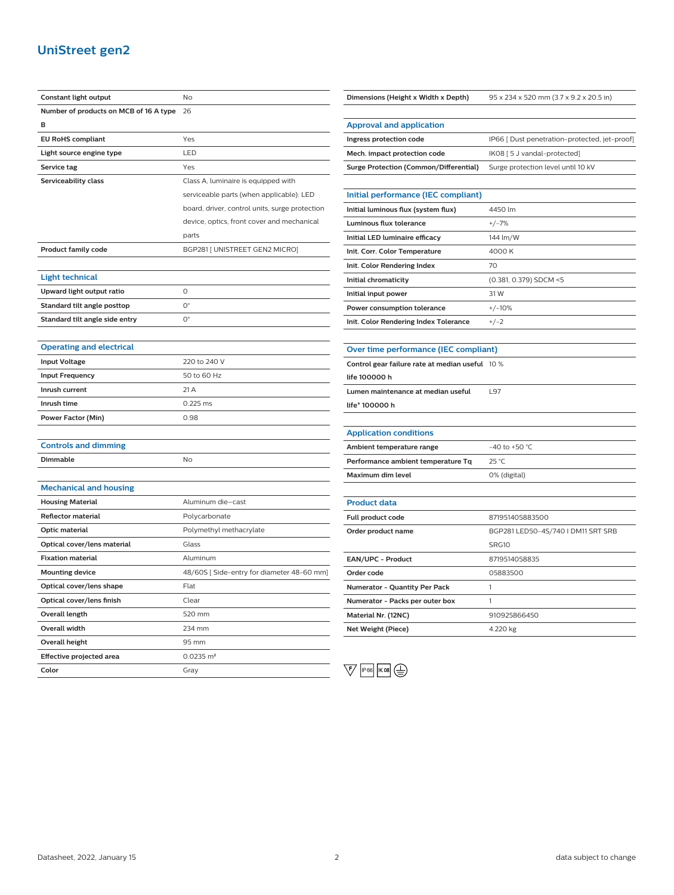## **UniStreet gen2**

| Constant light output                  | No                                             |
|----------------------------------------|------------------------------------------------|
| Number of products on MCB of 16 A type | 26                                             |
| в                                      |                                                |
| <b>EU RoHS compliant</b>               | Yes                                            |
| Light source engine type               | LED                                            |
| Service tag                            | Yes                                            |
| Serviceability class                   | Class A, luminaire is equipped with            |
|                                        | serviceable parts (when applicable): LED       |
|                                        | board, driver, control units, surge protection |
|                                        | device, optics, front cover and mechanical     |
|                                        | parts                                          |
| <b>Product family code</b>             | BGP281 [ UNISTREET GEN2 MICRO]                 |
|                                        |                                                |
| <b>Light technical</b>                 |                                                |
| Upward light output ratio              | $\Omega$                                       |
| Standard tilt angle posttop            | $O^{\circ}$                                    |
| Standard tilt angle side entry         | $\mathsf{O}^\circ$                             |
|                                        |                                                |
| <b>Operating and electrical</b>        |                                                |
| <b>Input Voltage</b>                   | 220 to 240 V                                   |
| <b>Input Frequency</b>                 | 50 to 60 Hz                                    |
| Inrush current                         | 21A                                            |
| Inrush time                            | 0.225 ms                                       |
| Power Factor (Min)                     | 0.98                                           |
|                                        |                                                |
| <b>Controls and dimming</b>            |                                                |
| Dimmable                               | No                                             |
|                                        |                                                |
| <b>Mechanical and housing</b>          |                                                |
| <b>Housing Material</b>                | Aluminum die-cast                              |
| <b>Reflector material</b>              | Polycarbonate                                  |
| Optic material                         | Polymethyl methacrylate                        |
| Optical cover/lens material            | Glass                                          |
| <b>Fixation material</b>               | Aluminum                                       |
| <b>Mounting device</b>                 | 48/60S [Side-entry for diameter 48-60 mm]      |
| Optical cover/lens shape               | Flat                                           |
| Optical cover/lens finish              | Clear                                          |
| <b>Overall length</b>                  | 520 mm                                         |
| Overall width                          | 234 mm                                         |
| Overall height                         | 95 mm                                          |
| <b>Effective projected area</b>        | $0.0235$ m <sup>2</sup>                        |
| Color                                  | Gray                                           |

| Dimensions (Height x Width x Depth)             | 95 x 234 x 520 mm (3.7 x 9.2 x 20.5 in)       |
|-------------------------------------------------|-----------------------------------------------|
|                                                 |                                               |
| <b>Approval and application</b>                 |                                               |
| Ingress protection code                         | IP66 [ Dust penetration-protected, jet-proof] |
| Mech. impact protection code                    | IK08 [5 J vandal-protected]                   |
| <b>Surge Protection (Common/Differential)</b>   | Surge protection level until 10 kV            |
|                                                 |                                               |
| Initial performance (IEC compliant)             |                                               |
| Initial luminous flux (system flux)             | 4450 lm                                       |
| Luminous flux tolerance                         | $+/-7%$                                       |
| Initial LED luminaire efficacy                  | 144 lm/W                                      |
| Init. Corr. Color Temperature                   | 4000 K                                        |
| Init. Color Rendering Index                     | 70                                            |
| Initial chromaticity                            | (0.381, 0.379) SDCM <5                        |
| Initial input power                             | 31 W                                          |
| Power consumption tolerance                     | $+/-10%$                                      |
| Init. Color Rendering Index Tolerance           | $+/-2$                                        |
|                                                 |                                               |
| Over time performance (IEC compliant)           |                                               |
| Control gear failure rate at median useful 10 % |                                               |
| life 100000 h                                   |                                               |
| Lumen maintenance at median useful              | L97                                           |
| life* 100000 h                                  |                                               |
|                                                 |                                               |
| <b>Application conditions</b>                   |                                               |
| Ambient temperature range                       | -40 to +50 $^{\circ}$ C                       |
| Performance ambient temperature Tq              | 25 °C                                         |
| Maximum dim level                               | 0% (digital)                                  |
|                                                 |                                               |
| <b>Product data</b>                             |                                               |
| Full product code                               | 871951405883500                               |
| Order product name                              | BGP281 LED50-4S/740 I DM11 SRT SRB            |
|                                                 | SRG10                                         |
| EAN/UPC - Product                               | 8719514058835                                 |
| Order code                                      | 05883500                                      |
| Numerator - Quantity Per Pack                   | 1                                             |
| Numerator - Packs per outer box                 | 1                                             |
| Material Nr. (12NC)                             | 910925866450                                  |
| Net Weight (Piece)                              | 4.220 kg                                      |